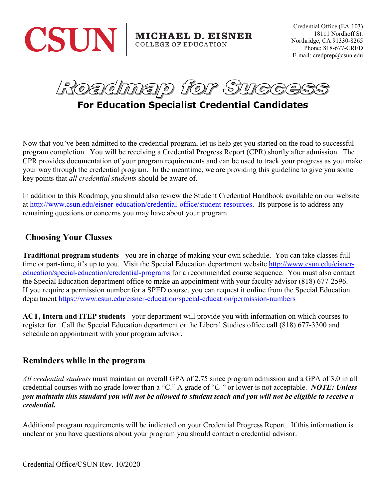

Credential Office (EA-103) 18111 Nordhoff St. Northridge, CA 91330-8265 Phone: 818-677-CRED E-mail: credprep@csun.edu

Roadmap for Succ

**For Education Specialist Credential Candidates**

Now that you've been admitted to the credential program, let us help get you started on the road to successful program completion. You will be receiving a Credential Progress Report (CPR) shortly after admission. The CPR provides documentation of your program requirements and can be used to track your progress as you make your way through the credential program. In the meantime, we are providing this guideline to give you some key points that *all credential students* should be aware of.

In addition to this Roadmap, you should also review the Student Credential Handbook available on our website at [http://www.csun.edu/eisner-education/credential-office/student-resources.](http://www.csun.edu/eisner-education/credential-office/student-resources) Its purpose is to address any remaining questions or concerns you may have about your program.

### **Choosing Your Classes**

**Traditional program students** - you are in charge of making your own schedule. You can take classes fulltime or part-time, it's up to you. Visit the Special Education department website [http://www.csun.edu/eisner](http://www.csun.edu/eisner-education/special-education/credential-programs)[education/special-education/credential-programs](http://www.csun.edu/eisner-education/special-education/credential-programs) for a recommended course sequence. You must also contact the Special Education department office to make an appointment with your faculty advisor (818) 677-2596. If you require a permission number for a SPED course, you can request it online from the Special Education department<https://www.csun.edu/eisner-education/special-education/permission-numbers>

**ACT, Intern and ITEP students** - your department will provide you with information on which courses to register for. Call the Special Education department or the Liberal Studies office call (818) 677-3300 and schedule an appointment with your program advisor.

#### **Reminders while in the program**

*All credential students* must maintain an overall GPA of 2.75 since program admission and a GPA of 3.0 in all credential courses with no grade lower than a "C." A grade of "C-" or lower is not acceptable. *NOTE: Unless you maintain this standard you will not be allowed to student teach and you will not be eligible to receive a credential.*

Additional program requirements will be indicated on your Credential Progress Report. If this information is unclear or you have questions about your program you should contact a credential advisor.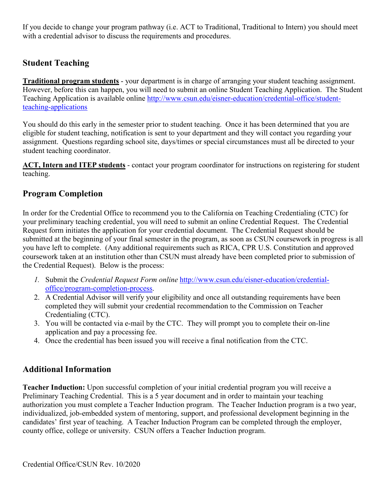If you decide to change your program pathway (i.e. ACT to Traditional, Traditional to Intern) you should meet with a credential advisor to discuss the requirements and procedures.

## **Student Teaching**

**Traditional program students** - your department is in charge of arranging your student teaching assignment. However, before this can happen, you will need to submit an online Student Teaching Application. The Student Teaching Application is available online [http://www.csun.edu/eisner-education/credential-office/student](http://www.csun.edu/eisner-education/credential-office/student-teaching-applications)[teaching-applications](http://www.csun.edu/eisner-education/credential-office/student-teaching-applications)

You should do this early in the semester prior to student teaching. Once it has been determined that you are eligible for student teaching, notification is sent to your department and they will contact you regarding your assignment. Questions regarding school site, days/times or special circumstances must all be directed to your student teaching coordinator.

**ACT, Intern and ITEP students** - contact your program coordinator for instructions on registering for student teaching.

# **Program Completion**

In order for the Credential Office to recommend you to the California on Teaching Credentialing (CTC) for your preliminary teaching credential, you will need to submit an online Credential Request. The Credential Request form initiates the application for your credential document. The Credential Request should be submitted at the beginning of your final semester in the program, as soon as CSUN coursework in progress is all you have left to complete. (Any additional requirements such as RICA, CPR U.S. Constitution and approved coursework taken at an institution other than CSUN must already have been completed prior to submission of the Credential Request). Below is the process:

- *1.* Submit the *Credential Request Form online* [http://www.csun.edu/eisner-education/credential](http://www.csun.edu/eisner-education/credential-office/program-completion-process)[office/program-completion-process.](http://www.csun.edu/eisner-education/credential-office/program-completion-process)
- 2. A Credential Advisor will verify your eligibility and once all outstanding requirements have been completed they will submit your credential recommendation to the Commission on Teacher Credentialing (CTC).
- 3. You will be contacted via e-mail by the CTC. They will prompt you to complete their on-line application and pay a processing fee.
- 4. Once the credential has been issued you will receive a final notification from the CTC.

# **Additional Information**

**Teacher Induction:** Upon successful completion of your initial credential program you will receive a Preliminary Teaching Credential. This is a 5 year document and in order to maintain your teaching authorization you must complete a Teacher Induction program. The Teacher Induction program is a two year, individualized, job-embedded system of mentoring, support, and professional development beginning in the candidates' first year of teaching. A Teacher Induction Program can be completed through the employer, county office, college or university.CSUN offers a Teacher Induction program.